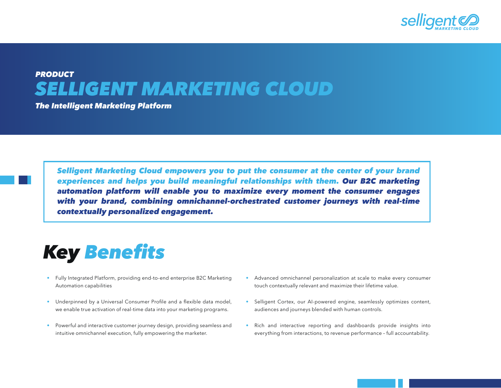

## *PRODUCT SELLIGENT MARKETING CLOUD*

*The Intelligent Marketing Platform* 

Selligent Marketing Cloud empowers you to put the consumer at the center of your brand experiences and helps you build meaningful relationships with them. *Our B2C marketing*  automation platform will enable you to maximize every moment the consumer engages with your brand, combining omnichannel-orchestrated customer journeys with real-time contextually personalized engagement.

## *Key* Benefits

- Fully Integrated Platform, providing end-to-end enterprise B2C Marketing Automation capabilities
- Underpinned by a Universal Consumer Profile and a flexible data model, we enable true activation of real-time data into your marketing programs.
- Powerful and interactive customer journey design, providing seamless and intuitive omnichannel execution, fully empowering the marketer.
- Advanced omnichannel personalization at scale to make every consumer touch contextually relevant and maximize their lifetime value.
- Selligent Cortex, our AI-powered engine, seamlessly optimizes content, audiences and journeys blended with human controls.
- Rich and interactive reporting and dashboards provide insights into everything from interactions, to revenue performance – full accountability.